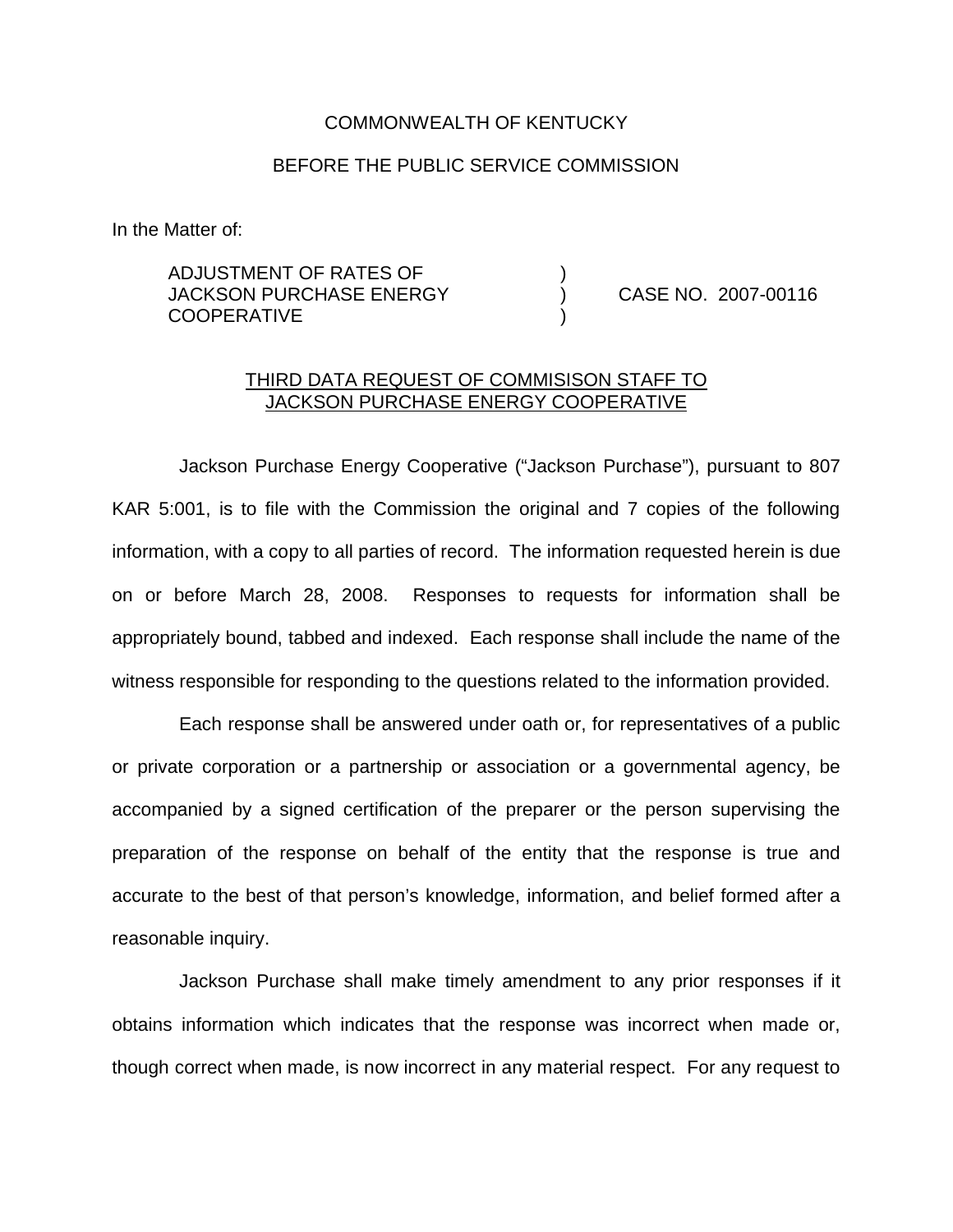## COMMONWEALTH OF KENTUCKY

## BEFORE THE PUBLIC SERVICE COMMISSION

In the Matter of:

## ADJUSTMENT OF RATES OF ) JACKSON PURCHASE ENERGY (and CASE NO. 2007-00116) **COOPERATIVE**

## THIRD DATA REQUEST OF COMMISISON STAFF TO JACKSON PURCHASE ENERGY COOPERATIVE

Jackson Purchase Energy Cooperative ("Jackson Purchase"), pursuant to 807 KAR 5:001, is to file with the Commission the original and 7 copies of the following information, with a copy to all parties of record. The information requested herein is due on or before March 28, 2008. Responses to requests for information shall be appropriately bound, tabbed and indexed. Each response shall include the name of the witness responsible for responding to the questions related to the information provided.

Each response shall be answered under oath or, for representatives of a public or private corporation or a partnership or association or a governmental agency, be accompanied by a signed certification of the preparer or the person supervising the preparation of the response on behalf of the entity that the response is true and accurate to the best of that person's knowledge, information, and belief formed after a reasonable inquiry.

Jackson Purchase shall make timely amendment to any prior responses if it obtains information which indicates that the response was incorrect when made or, though correct when made, is now incorrect in any material respect. For any request to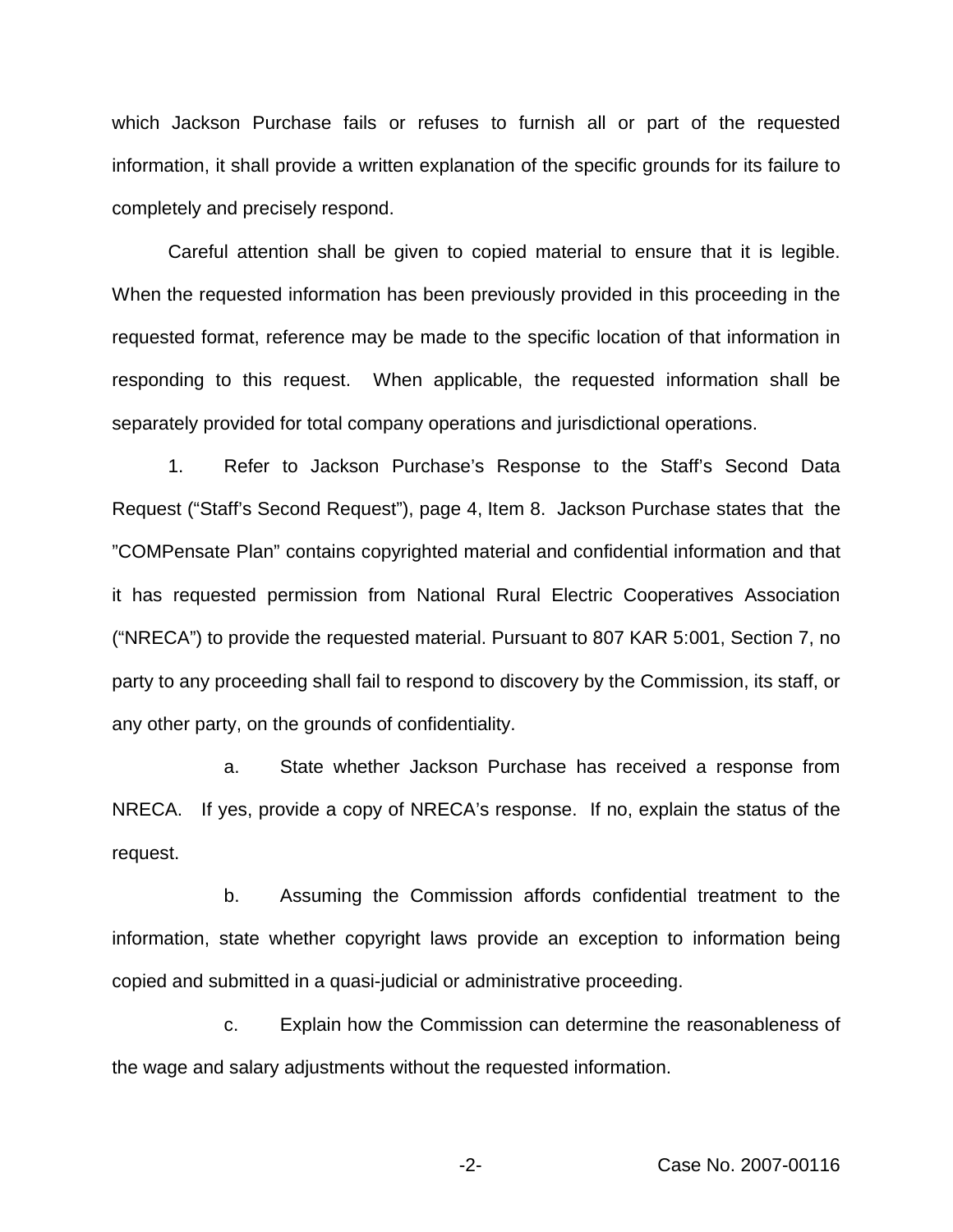which Jackson Purchase fails or refuses to furnish all or part of the requested information, it shall provide a written explanation of the specific grounds for its failure to completely and precisely respond.

Careful attention shall be given to copied material to ensure that it is legible. When the requested information has been previously provided in this proceeding in the requested format, reference may be made to the specific location of that information in responding to this request. When applicable, the requested information shall be separately provided for total company operations and jurisdictional operations.

1. Refer to Jackson Purchase's Response to the Staff's Second Data Request ("Staff's Second Request"), page 4, Item 8. Jackson Purchase states that the "COMPensate Plan" contains copyrighted material and confidential information and that it has requested permission from National Rural Electric Cooperatives Association ("NRECA") to provide the requested material. Pursuant to 807 KAR 5:001, Section 7, no party to any proceeding shall fail to respond to discovery by the Commission, its staff, or any other party, on the grounds of confidentiality.

a. State whether Jackson Purchase has received a response from NRECA. If yes, provide a copy of NRECA's response. If no, explain the status of the request.

b. Assuming the Commission affords confidential treatment to the information, state whether copyright laws provide an exception to information being copied and submitted in a quasi-judicial or administrative proceeding.

c. Explain how the Commission can determine the reasonableness of the wage and salary adjustments without the requested information.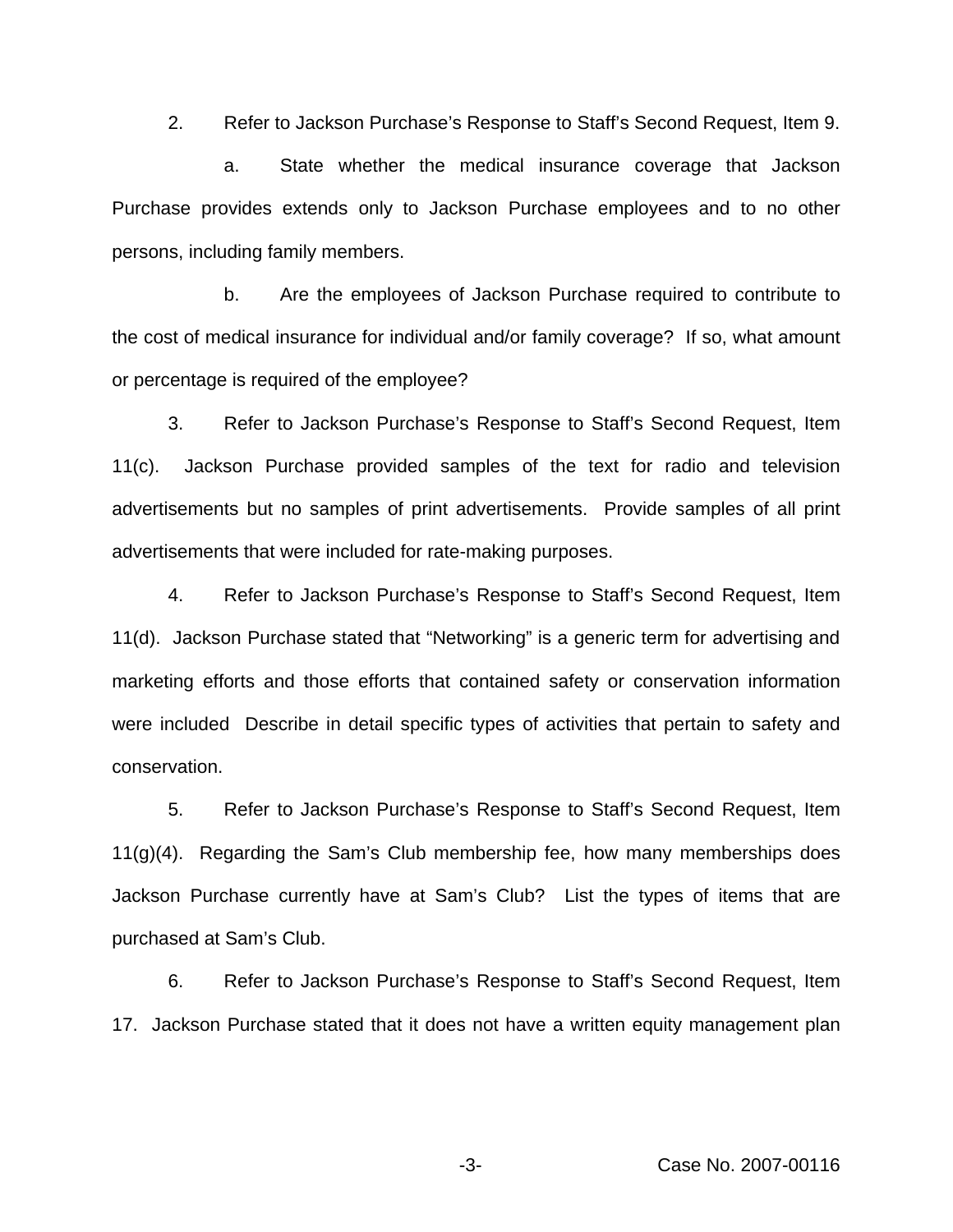2. Refer to Jackson Purchase's Response to Staff's Second Request, Item 9.

a. State whether the medical insurance coverage that Jackson Purchase provides extends only to Jackson Purchase employees and to no other persons, including family members.

b. Are the employees of Jackson Purchase required to contribute to the cost of medical insurance for individual and/or family coverage? If so, what amount or percentage is required of the employee?

3. Refer to Jackson Purchase's Response to Staff's Second Request, Item 11(c). Jackson Purchase provided samples of the text for radio and television advertisements but no samples of print advertisements. Provide samples of all print advertisements that were included for rate-making purposes.

4. Refer to Jackson Purchase's Response to Staff's Second Request, Item 11(d). Jackson Purchase stated that "Networking" is a generic term for advertising and marketing efforts and those efforts that contained safety or conservation information were included Describe in detail specific types of activities that pertain to safety and conservation.

5. Refer to Jackson Purchase's Response to Staff's Second Request, Item  $11(g)(4)$ . Regarding the Sam's Club membership fee, how many memberships does Jackson Purchase currently have at Sam's Club? List the types of items that are purchased at Sam's Club.

6. Refer to Jackson Purchase's Response to Staff's Second Request, Item 17. Jackson Purchase stated that it does not have a written equity management plan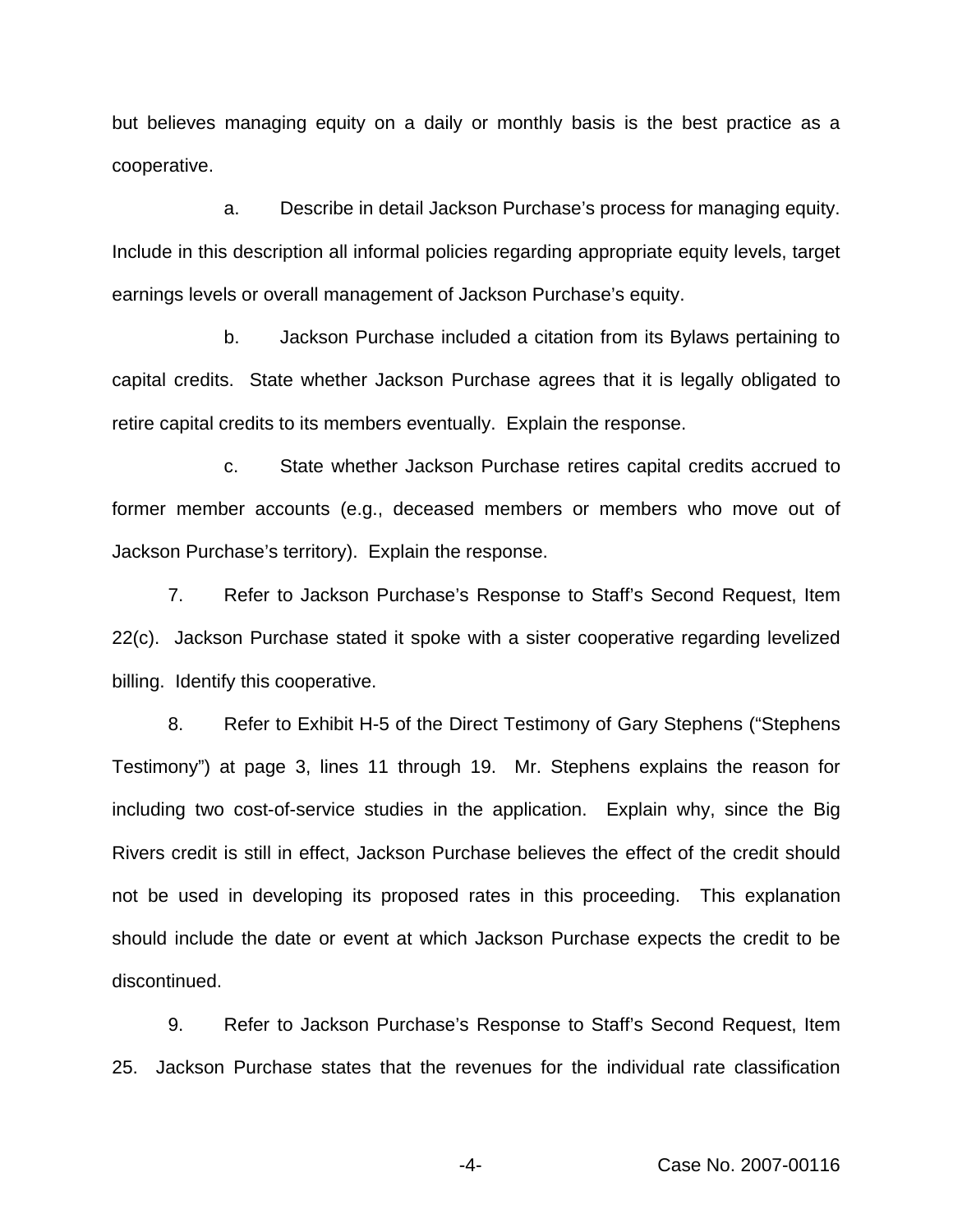but believes managing equity on a daily or monthly basis is the best practice as a cooperative.

a. Describe in detail Jackson Purchase's process for managing equity. Include in this description all informal policies regarding appropriate equity levels, target earnings levels or overall management of Jackson Purchase's equity.

b. Jackson Purchase included a citation from its Bylaws pertaining to capital credits. State whether Jackson Purchase agrees that it is legally obligated to retire capital credits to its members eventually. Explain the response.

c. State whether Jackson Purchase retires capital credits accrued to former member accounts (e.g., deceased members or members who move out of Jackson Purchase's territory). Explain the response.

7. Refer to Jackson Purchase's Response to Staff's Second Request, Item 22(c). Jackson Purchase stated it spoke with a sister cooperative regarding levelized billing. Identify this cooperative.

8. Refer to Exhibit H-5 of the Direct Testimony of Gary Stephens ("Stephens Testimony") at page 3, lines 11 through 19. Mr. Stephens explains the reason for including two cost-of-service studies in the application. Explain why, since the Big Rivers credit is still in effect, Jackson Purchase believes the effect of the credit should not be used in developing its proposed rates in this proceeding. This explanation should include the date or event at which Jackson Purchase expects the credit to be discontinued.

9. Refer to Jackson Purchase's Response to Staff's Second Request, Item 25. Jackson Purchase states that the revenues for the individual rate classification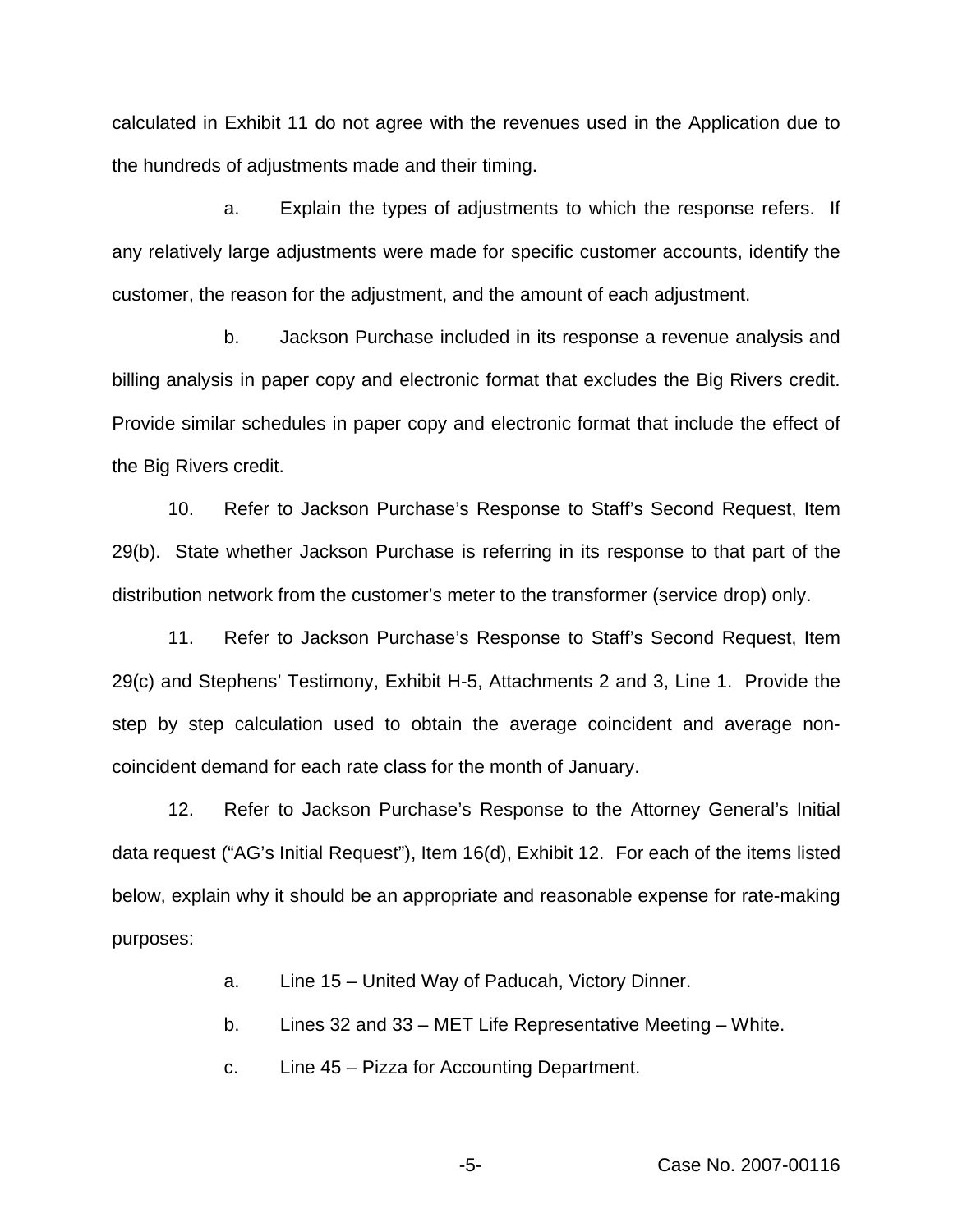calculated in Exhibit 11 do not agree with the revenues used in the Application due to the hundreds of adjustments made and their timing.

a. Explain the types of adjustments to which the response refers. If any relatively large adjustments were made for specific customer accounts, identify the customer, the reason for the adjustment, and the amount of each adjustment.

b. Jackson Purchase included in its response a revenue analysis and billing analysis in paper copy and electronic format that excludes the Big Rivers credit. Provide similar schedules in paper copy and electronic format that include the effect of the Big Rivers credit.

10. Refer to Jackson Purchase's Response to Staff's Second Request, Item 29(b). State whether Jackson Purchase is referring in its response to that part of the distribution network from the customer's meter to the transformer (service drop) only.

11. Refer to Jackson Purchase's Response to Staff's Second Request, Item 29(c) and Stephens' Testimony, Exhibit H-5, Attachments 2 and 3, Line 1. Provide the step by step calculation used to obtain the average coincident and average noncoincident demand for each rate class for the month of January.

12. Refer to Jackson Purchase's Response to the Attorney General's Initial data request ("AG's Initial Request"), Item 16(d), Exhibit 12. For each of the items listed below, explain why it should be an appropriate and reasonable expense for rate-making purposes:

a. Line 15 – United Way of Paducah, Victory Dinner.

b. Lines 32 and 33 – MET Life Representative Meeting – White.

c. Line 45 – Pizza for Accounting Department.

-5- Case No. 2007-00116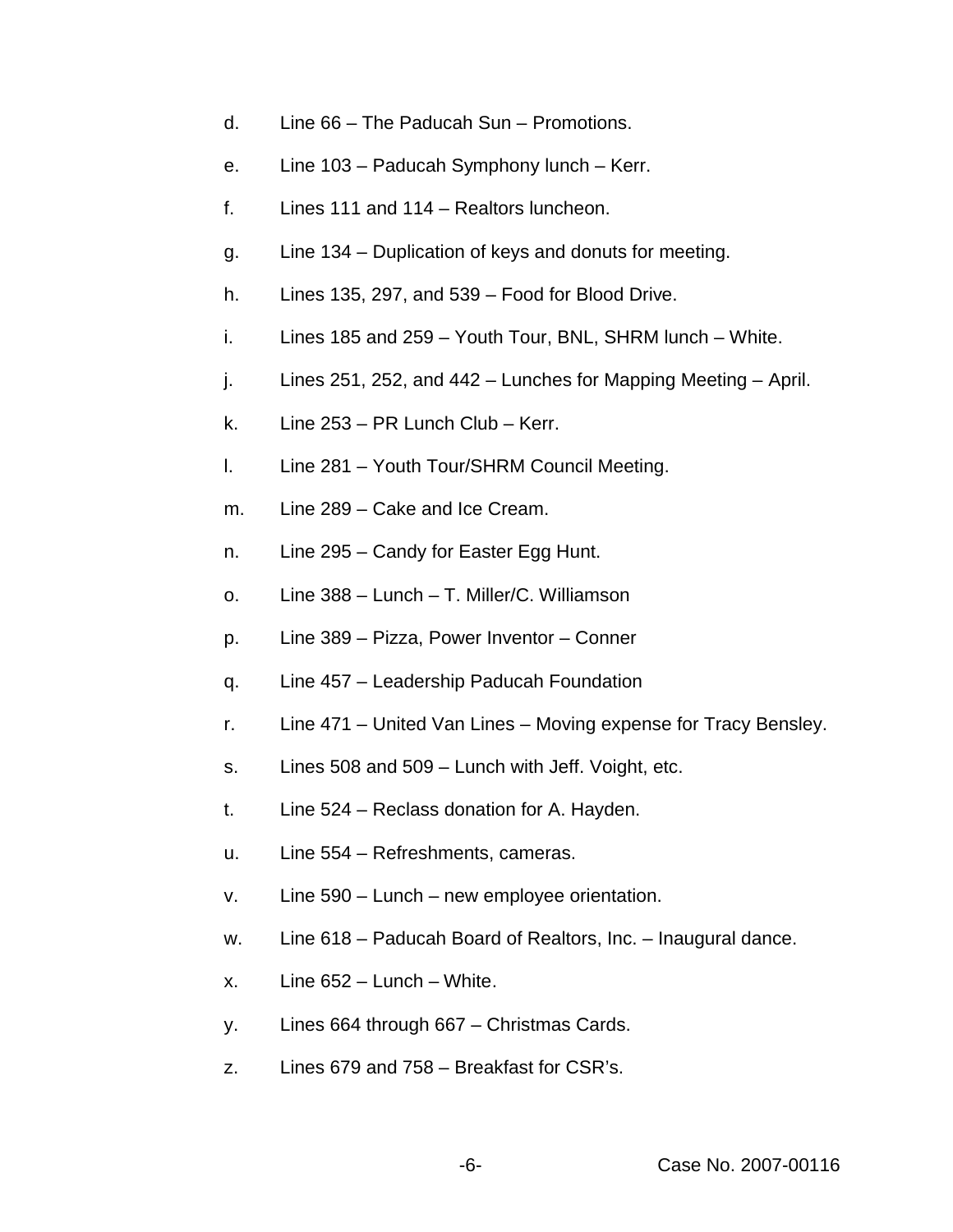- d. Line 66 The Paducah Sun Promotions.
- e. Line 103 Paducah Symphony lunch Kerr.
- f. Lines 111 and 114 Realtors luncheon.
- g. Line 134 Duplication of keys and donuts for meeting.
- h. Lines 135, 297, and 539 Food for Blood Drive.
- i. Lines 185 and 259 Youth Tour, BNL, SHRM lunch White.
- $i.$  Lines 251, 252, and 442 Lunches for Mapping Meeting April.
- k. Line 253 PR Lunch Club Kerr.
- l. Line 281 Youth Tour/SHRM Council Meeting.
- m. Line 289 Cake and Ice Cream.
- n. Line 295 Candy for Easter Egg Hunt.
- o. Line 388 Lunch T. Miller/C. Williamson
- p. Line 389 Pizza, Power Inventor Conner
- q. Line 457 Leadership Paducah Foundation
- r. Line 471 United Van Lines Moving expense for Tracy Bensley.
- s. Lines 508 and 509 Lunch with Jeff. Voight, etc.
- t. Line 524 Reclass donation for A. Hayden.
- u. Line 554 Refreshments, cameras.
- v. Line 590 Lunch new employee orientation.
- w. Line 618 Paducah Board of Realtors, Inc. Inaugural dance.
- x. Line 652 Lunch White.
- y. Lines 664 through 667 Christmas Cards.
- z. Lines 679 and 758 Breakfast for CSR's.